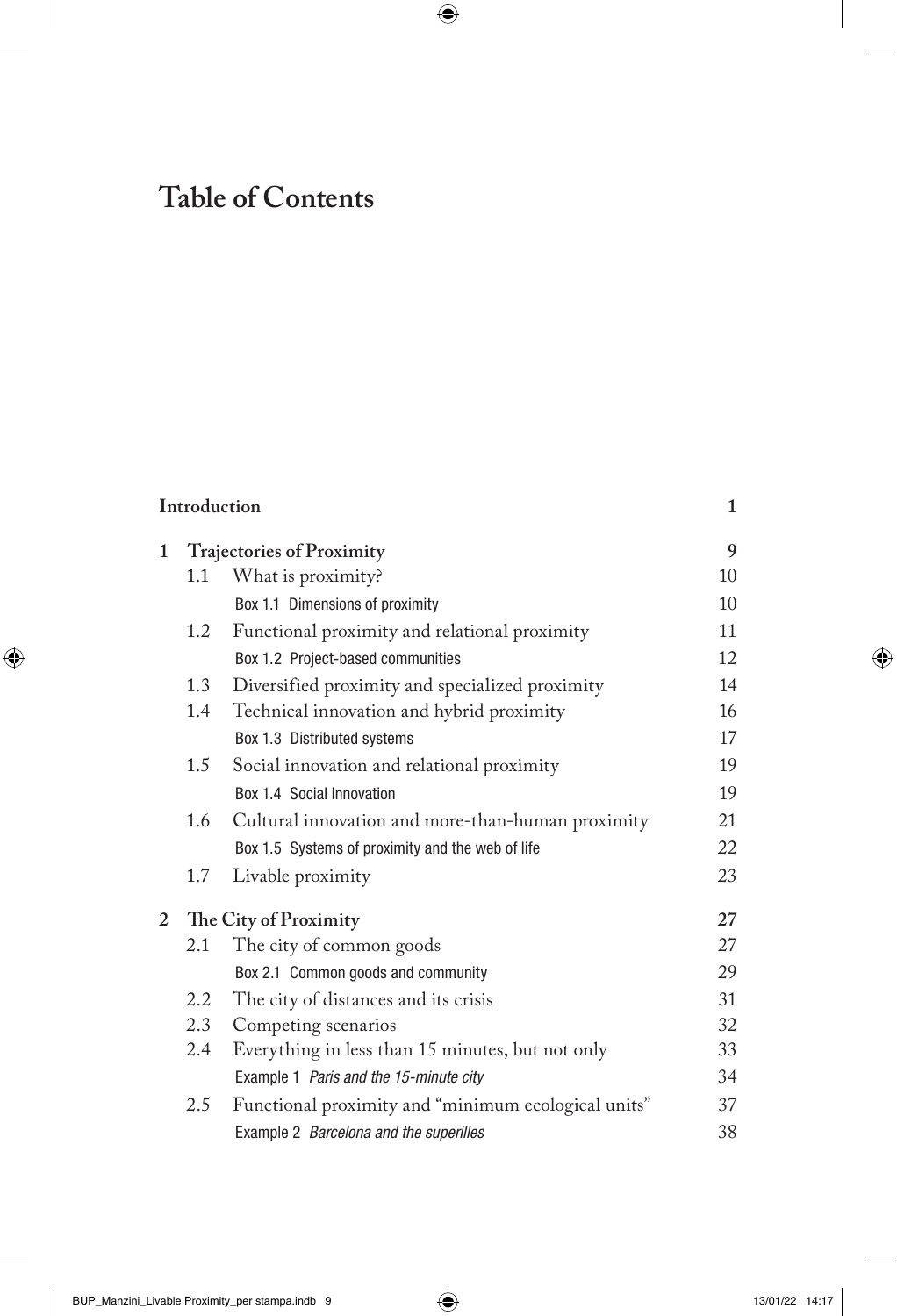## **Table of Contents**

|   | Introduction                     |                                                     |    |
|---|----------------------------------|-----------------------------------------------------|----|
| 1 | <b>Trajectories of Proximity</b> |                                                     | 9  |
|   | 1.1                              | What is proximity?                                  | 10 |
|   |                                  | Box 1.1 Dimensions of proximity                     | 10 |
|   | 1.2                              | Functional proximity and relational proximity       | 11 |
|   |                                  | Box 1.2 Project-based communities                   | 12 |
|   | 1.3                              | Diversified proximity and specialized proximity     | 14 |
|   | 1.4                              | Technical innovation and hybrid proximity           | 16 |
|   |                                  | Box 1.3 Distributed systems                         | 17 |
|   | 1.5                              | Social innovation and relational proximity          | 19 |
|   |                                  | Box 1.4 Social Innovation                           | 19 |
|   | 1.6                              | Cultural innovation and more-than-human proximity   | 21 |
|   |                                  | Box 1.5 Systems of proximity and the web of life    | 22 |
|   | 1.7                              | Livable proximity                                   | 23 |
| 2 | The City of Proximity            |                                                     | 27 |
|   | 2.1                              | The city of common goods                            | 27 |
|   |                                  | Box 2.1 Common goods and community                  | 29 |
|   | 2.2                              | The city of distances and its crisis                | 31 |
|   | 2.3                              | Competing scenarios                                 | 32 |
|   | $2.4\phantom{0}$                 | Everything in less than 15 minutes, but not only    | 33 |
|   |                                  | Example 1 Paris and the 15-minute city              | 34 |
|   | 2.5                              | Functional proximity and "minimum ecological units" | 37 |
|   |                                  | Example 2 Barcelona and the superilles              | 38 |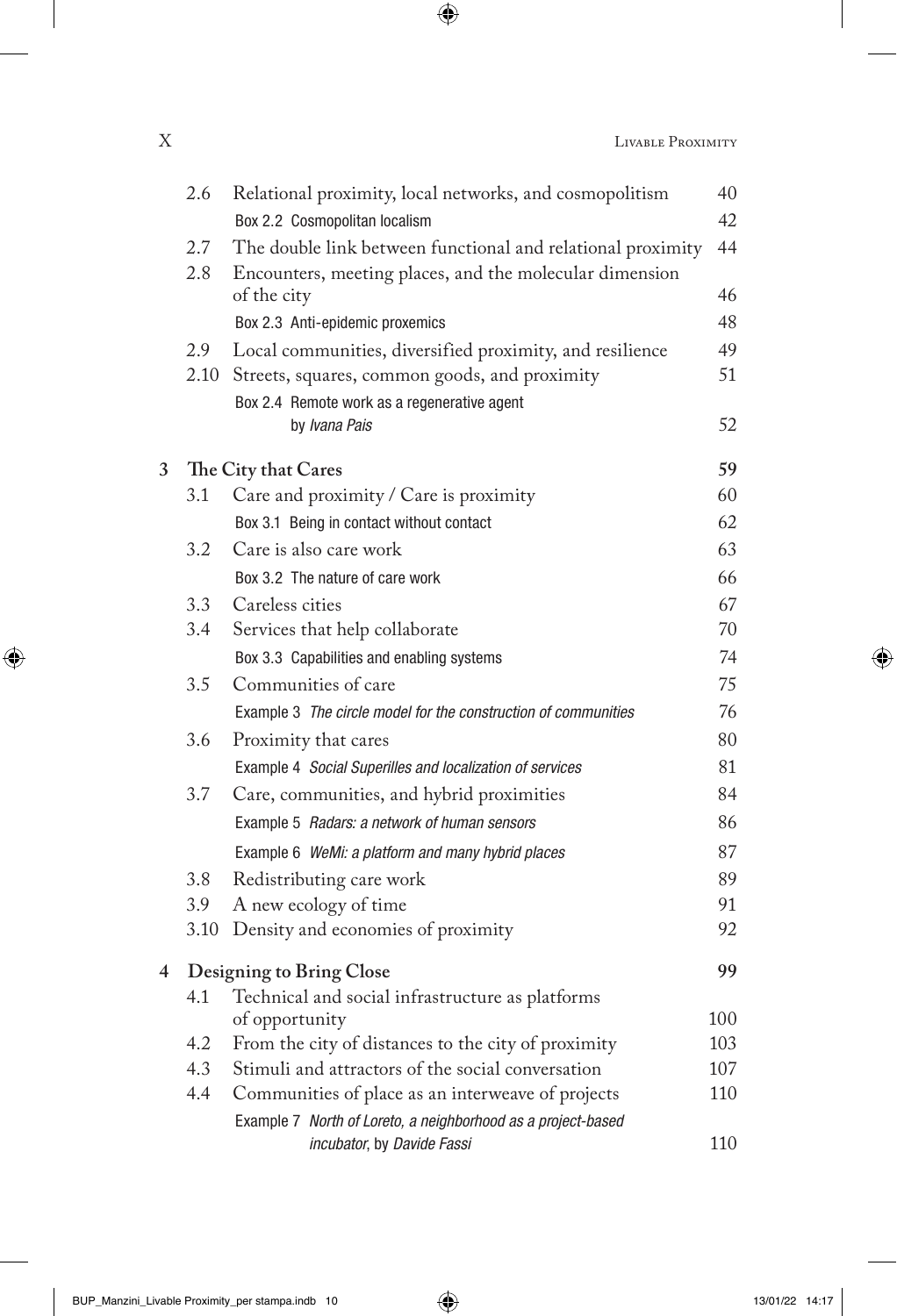|   | 2.6  | Relational proximity, local networks, and cosmopolitism        | 40  |
|---|------|----------------------------------------------------------------|-----|
|   |      | Box 2.2 Cosmopolitan localism                                  | 42  |
|   | 2.7  | The double link between functional and relational proximity    | 44  |
|   | 2.8  | Encounters, meeting places, and the molecular dimension        |     |
|   |      | of the city                                                    | 46  |
|   |      | Box 2.3 Anti-epidemic proxemics                                | 48  |
|   | 2.9  | Local communities, diversified proximity, and resilience       | 49  |
|   | 2.10 | Streets, squares, common goods, and proximity                  | 51  |
|   |      | Box 2.4 Remote work as a regenerative agent                    |     |
|   |      | by Ivana Pais                                                  | 52  |
| 3 |      | The City that Cares                                            | 59  |
|   | 3.1  | Care and proximity / Care is proximity                         | 60  |
|   |      | Box 3.1 Being in contact without contact                       | 62  |
|   | 3.2  | Care is also care work                                         | 63  |
|   |      | Box 3.2 The nature of care work                                | 66  |
|   | 3.3  | Careless cities                                                | 67  |
|   | 3.4  | Services that help collaborate                                 | 70  |
|   |      | Box 3.3 Capabilities and enabling systems                      | 74  |
|   | 3.5  | Communities of care                                            | 75  |
|   |      | Example 3 The circle model for the construction of communities | 76  |
|   | 3.6  | Proximity that cares                                           | 80  |
|   |      | Example 4 Social Superilles and localization of services       | 81  |
|   | 3.7  | Care, communities, and hybrid proximities                      | 84  |
|   |      | Example 5 Radars: a network of human sensors                   | 86  |
|   |      | Example 6 WeMi: a platform and many hybrid places              | 87  |
|   | 3.8  | Redistributing care work                                       | 89  |
|   | 3.9  | A new ecology of time                                          | 91  |
|   | 3.10 | Density and economies of proximity                             | 92  |
| 4 |      | Designing to Bring Close                                       | 99  |
|   | 4.1  | Technical and social infrastructure as platforms               |     |
|   |      | of opportunity                                                 | 100 |
|   | 4.2  | From the city of distances to the city of proximity            | 103 |
|   | 4.3  | Stimuli and attractors of the social conversation              | 107 |
|   | 4.4  | Communities of place as an interweave of projects              | 110 |
|   |      | Example 7 North of Loreto, a neighborhood as a project-based   |     |
|   |      | incubator, by Davide Fassi                                     | 110 |